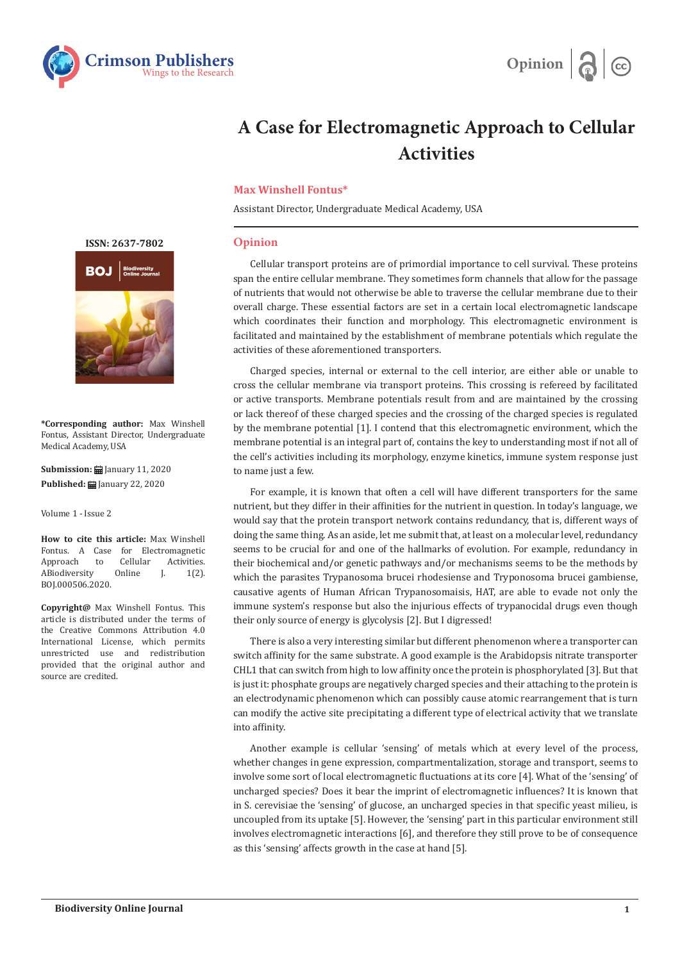



## **A Case for Electromagnetic Approach to Cellular Activities**

## **Max Winshell Fontus\***

Assistant Director, Undergraduate Medical Academy, USA

## **Opinion**

Cellular transport proteins are of primordial importance to cell survival. These proteins span the entire cellular membrane. They sometimes form channels that allow for the passage of nutrients that would not otherwise be able to traverse the cellular membrane due to their overall charge. These essential factors are set in a certain local electromagnetic landscape which coordinates their function and morphology. This electromagnetic environment is facilitated and maintained by the establishment of membrane potentials which regulate the activities of these aforementioned transporters.

Charged species, internal or external to the cell interior, are either able or unable to cross the cellular membrane via transport proteins. This crossing is refereed by facilitated or active transports. Membrane potentials result from and are maintained by the crossing or lack thereof of these charged species and the crossing of the charged species is regulated by the membrane potential [1]. I contend that this electromagnetic environment, which the membrane potential is an integral part of, contains the key to understanding most if not all of the cell's activities including its morphology, enzyme kinetics, immune system response just to name just a few.

For example, it is known that often a cell will have different transporters for the same nutrient, but they differ in their affinities for the nutrient in question. In today's language, we would say that the protein transport network contains redundancy, that is, different ways of doing the same thing. As an aside, let me submit that, at least on a molecular level, redundancy seems to be crucial for and one of the hallmarks of evolution. For example, redundancy in their biochemical and/or genetic pathways and/or mechanisms seems to be the methods by which the parasites Trypanosoma brucei rhodesiense and Tryponosoma brucei gambiense, causative agents of Human African Trypanosomaisis, HAT, are able to evade not only the immune system's response but also the injurious effects of trypanocidal drugs even though their only source of energy is glycolysis [2]. But I digressed!

There is also a very interesting similar but different phenomenon where a transporter can switch affinity for the same substrate. A good example is the Arabidopsis nitrate transporter CHL1 that can switch from high to low affinity once the protein is phosphorylated [3]. But that is just it: phosphate groups are negatively charged species and their attaching to the protein is an electrodynamic phenomenon which can possibly cause atomic rearrangement that is turn can modify the active site precipitating a different type of electrical activity that we translate into affinity.

Another example is cellular 'sensing' of metals which at every level of the process, whether changes in gene expression, compartmentalization, storage and transport, seems to involve some sort of local electromagnetic fluctuations at its core [4]. What of the 'sensing' of uncharged species? Does it bear the imprint of electromagnetic influences? It is known that in S. cerevisiae the 'sensing' of glucose, an uncharged species in that specific yeast milieu, is uncoupled from its uptake [5]. However, the 'sensing' part in this particular environment still involves electromagnetic interactions [6], and therefore they still prove to be of consequence as this 'sensing' affects growth in the case at hand [5].

**[ISSN: 2637-7802](https://crimsonpublishers.com/boj/)**



**\*Corresponding author:** Max Winshell Fontus, Assistant Director, Undergraduate Medical Academy, USA

**Submission: iii** January 11, 2020 **Published:** January 22, 2020

Volume 1 - Issue 2

**How to cite this article:** Max Winshell Fontus. A Case for Electromagnetic<br>Approach to Cellular Activities Approach to Cellular Activities.<br>ABiodiversity Online J. 1(2). ABiodiversity BOJ.000506.2020.

**Copyright@** Max Winshell Fontus. This article is distributed under the terms of the Creative Commons Attribution 4.0 International License, which permits unrestricted use and redistribution provided that the original author and source are credited.